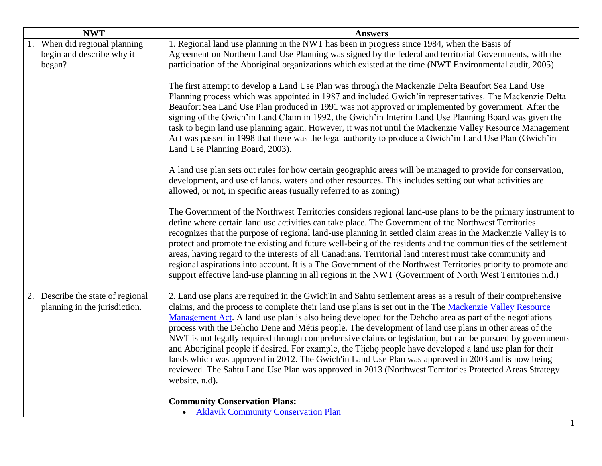| <b>NWT</b>                                                         | <b>Answers</b>                                                                                                                                                                                                                                                                                                                                                                                                                                                                                                                                                                                                                                                                                                                                                                                                                                                                                             |
|--------------------------------------------------------------------|------------------------------------------------------------------------------------------------------------------------------------------------------------------------------------------------------------------------------------------------------------------------------------------------------------------------------------------------------------------------------------------------------------------------------------------------------------------------------------------------------------------------------------------------------------------------------------------------------------------------------------------------------------------------------------------------------------------------------------------------------------------------------------------------------------------------------------------------------------------------------------------------------------|
| $\overline{1.}$ When did regional planning                         | 1. Regional land use planning in the NWT has been in progress since 1984, when the Basis of                                                                                                                                                                                                                                                                                                                                                                                                                                                                                                                                                                                                                                                                                                                                                                                                                |
| begin and describe why it                                          | Agreement on Northern Land Use Planning was signed by the federal and territorial Governments, with the                                                                                                                                                                                                                                                                                                                                                                                                                                                                                                                                                                                                                                                                                                                                                                                                    |
| began?                                                             | participation of the Aboriginal organizations which existed at the time (NWT Environmental audit, 2005).                                                                                                                                                                                                                                                                                                                                                                                                                                                                                                                                                                                                                                                                                                                                                                                                   |
|                                                                    | The first attempt to develop a Land Use Plan was through the Mackenzie Delta Beaufort Sea Land Use<br>Planning process which was appointed in 1987 and included Gwich' in representatives. The Mackenzie Delta<br>Beaufort Sea Land Use Plan produced in 1991 was not approved or implemented by government. After the<br>signing of the Gwich'in Land Claim in 1992, the Gwich'in Interim Land Use Planning Board was given the<br>task to begin land use planning again. However, it was not until the Mackenzie Valley Resource Management<br>Act was passed in 1998 that there was the legal authority to produce a Gwich' in Land Use Plan (Gwich' in<br>Land Use Planning Board, 2003).                                                                                                                                                                                                              |
|                                                                    | A land use plan sets out rules for how certain geographic areas will be managed to provide for conservation,<br>development, and use of lands, waters and other resources. This includes setting out what activities are<br>allowed, or not, in specific areas (usually referred to as zoning)                                                                                                                                                                                                                                                                                                                                                                                                                                                                                                                                                                                                             |
|                                                                    | The Government of the Northwest Territories considers regional land-use plans to be the primary instrument to<br>define where certain land use activities can take place. The Government of the Northwest Territories<br>recognizes that the purpose of regional land-use planning in settled claim areas in the Mackenzie Valley is to<br>protect and promote the existing and future well-being of the residents and the communities of the settlement<br>areas, having regard to the interests of all Canadians. Territorial land interest must take community and<br>regional aspirations into account. It is a The Government of the Northwest Territories priority to promote and<br>support effective land-use planning in all regions in the NWT (Government of North West Territories n.d.)                                                                                                       |
| 2. Describe the state of regional<br>planning in the jurisdiction. | 2. Land use plans are required in the Gwich'in and Sahtu settlement areas as a result of their comprehensive<br>claims, and the process to complete their land use plans is set out in the The Mackenzie Valley Resource<br>Management Act. A land use plan is also being developed for the Dehcho area as part of the negotiations<br>process with the Dehcho Dene and Métis people. The development of land use plans in other areas of the<br>NWT is not legally required through comprehensive claims or legislation, but can be pursued by governments<br>and Aboriginal people if desired. For example, the Thicho people have developed a land use plan for their<br>lands which was approved in 2012. The Gwich'in Land Use Plan was approved in 2003 and is now being<br>reviewed. The Sahtu Land Use Plan was approved in 2013 (Northwest Territories Protected Areas Strategy<br>website, n.d). |
|                                                                    | <b>Community Conservation Plans:</b><br><b>Aklavik Community Conservation Plan</b>                                                                                                                                                                                                                                                                                                                                                                                                                                                                                                                                                                                                                                                                                                                                                                                                                         |

1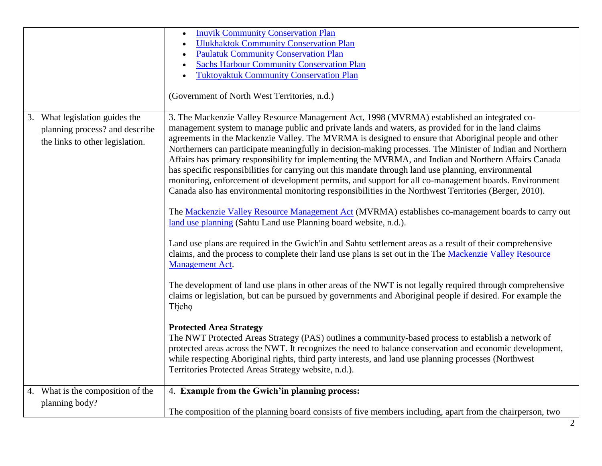|                                                                                                     | <b>Inuvik Community Conservation Plan</b><br><b>Ulukhaktok Community Conservation Plan</b><br><b>Paulatuk Community Conservation Plan</b><br><b>Sachs Harbour Community Conservation Plan</b><br><b>Tuktoyaktuk Community Conservation Plan</b><br>(Government of North West Territories, n.d.)                                                                                                                                                                                                                                                                                                                                                                                                                                                                                                                                                                                                                                                                                                                                                                                                                                                                                                                                                                                                                                                                                                                                                                                                                                                                                                                                                                                                                                                                                                                                                                                                                                                      |
|-----------------------------------------------------------------------------------------------------|------------------------------------------------------------------------------------------------------------------------------------------------------------------------------------------------------------------------------------------------------------------------------------------------------------------------------------------------------------------------------------------------------------------------------------------------------------------------------------------------------------------------------------------------------------------------------------------------------------------------------------------------------------------------------------------------------------------------------------------------------------------------------------------------------------------------------------------------------------------------------------------------------------------------------------------------------------------------------------------------------------------------------------------------------------------------------------------------------------------------------------------------------------------------------------------------------------------------------------------------------------------------------------------------------------------------------------------------------------------------------------------------------------------------------------------------------------------------------------------------------------------------------------------------------------------------------------------------------------------------------------------------------------------------------------------------------------------------------------------------------------------------------------------------------------------------------------------------------------------------------------------------------------------------------------------------------|
| 3. What legislation guides the<br>planning process? and describe<br>the links to other legislation. | 3. The Mackenzie Valley Resource Management Act, 1998 (MVRMA) established an integrated co-<br>management system to manage public and private lands and waters, as provided for in the land claims<br>agreements in the Mackenzie Valley. The MVRMA is designed to ensure that Aboriginal people and other<br>Northerners can participate meaningfully in decision-making processes. The Minister of Indian and Northern<br>Affairs has primary responsibility for implementing the MVRMA, and Indian and Northern Affairs Canada<br>has specific responsibilities for carrying out this mandate through land use planning, environmental<br>monitoring, enforcement of development permits, and support for all co-management boards. Environment<br>Canada also has environmental monitoring responsibilities in the Northwest Territories (Berger, 2010).<br>The Mackenzie Valley Resource Management Act (MVRMA) establishes co-management boards to carry out<br>land use planning (Sahtu Land use Planning board website, n.d.).<br>Land use plans are required in the Gwich'in and Sahtu settlement areas as a result of their comprehensive<br>claims, and the process to complete their land use plans is set out in the The Mackenzie Valley Resource<br><b>Management Act.</b><br>The development of land use plans in other areas of the NWT is not legally required through comprehensive<br>claims or legislation, but can be pursued by governments and Aboriginal people if desired. For example the<br>Tłicho<br><b>Protected Area Strategy</b><br>The NWT Protected Areas Strategy (PAS) outlines a community-based process to establish a network of<br>protected areas across the NWT. It recognizes the need to balance conservation and economic development,<br>while respecting Aboriginal rights, third party interests, and land use planning processes (Northwest<br>Territories Protected Areas Strategy website, n.d.). |
| 4. What is the composition of the<br>planning body?                                                 | 4. Example from the Gwich'in planning process:<br>The composition of the planning board consists of five members including, apart from the chairperson, two                                                                                                                                                                                                                                                                                                                                                                                                                                                                                                                                                                                                                                                                                                                                                                                                                                                                                                                                                                                                                                                                                                                                                                                                                                                                                                                                                                                                                                                                                                                                                                                                                                                                                                                                                                                          |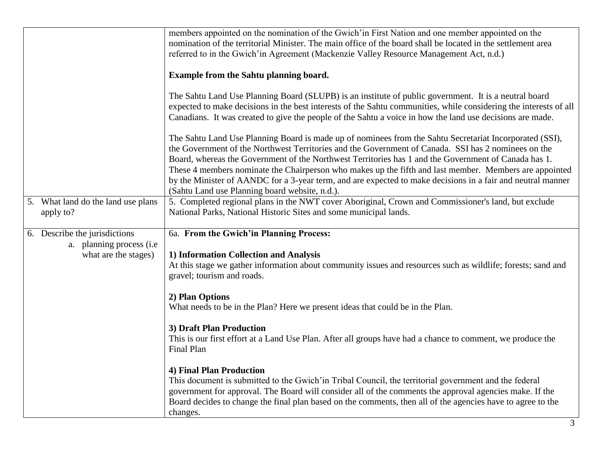|                                                                                    | members appointed on the nomination of the Gwich' in First Nation and one member appointed on the<br>nomination of the territorial Minister. The main office of the board shall be located in the settlement area<br>referred to in the Gwich'in Agreement (Mackenzie Valley Resource Management Act, n.d.)<br>Example from the Sahtu planning board.<br>The Sahtu Land Use Planning Board (SLUPB) is an institute of public government. It is a neutral board<br>expected to make decisions in the best interests of the Sahtu communities, while considering the interests of all<br>Canadians. It was created to give the people of the Sahtu a voice in how the land use decisions are made.<br>The Sahtu Land Use Planning Board is made up of nominees from the Sahtu Secretariat Incorporated (SSI),<br>the Government of the Northwest Territories and the Government of Canada. SSI has 2 nominees on the |
|------------------------------------------------------------------------------------|--------------------------------------------------------------------------------------------------------------------------------------------------------------------------------------------------------------------------------------------------------------------------------------------------------------------------------------------------------------------------------------------------------------------------------------------------------------------------------------------------------------------------------------------------------------------------------------------------------------------------------------------------------------------------------------------------------------------------------------------------------------------------------------------------------------------------------------------------------------------------------------------------------------------|
|                                                                                    | Board, whereas the Government of the Northwest Territories has 1 and the Government of Canada has 1.<br>These 4 members nominate the Chairperson who makes up the fifth and last member. Members are appointed<br>by the Minister of AANDC for a 3-year term, and are expected to make decisions in a fair and neutral manner<br>(Sahtu Land use Planning board website, n.d.).                                                                                                                                                                                                                                                                                                                                                                                                                                                                                                                                    |
| 5. What land do the land use plans<br>apply to?                                    | 5. Completed regional plans in the NWT cover Aboriginal, Crown and Commissioner's land, but exclude<br>National Parks, National Historic Sites and some municipal lands.                                                                                                                                                                                                                                                                                                                                                                                                                                                                                                                                                                                                                                                                                                                                           |
| 6. Describe the jurisdictions<br>a. planning process (i.e.<br>what are the stages) | 6a. From the Gwich'in Planning Process:<br>1) Information Collection and Analysis<br>At this stage we gather information about community issues and resources such as wildlife; forests; sand and<br>gravel; tourism and roads.                                                                                                                                                                                                                                                                                                                                                                                                                                                                                                                                                                                                                                                                                    |
|                                                                                    | 2) Plan Options<br>What needs to be in the Plan? Here we present ideas that could be in the Plan.                                                                                                                                                                                                                                                                                                                                                                                                                                                                                                                                                                                                                                                                                                                                                                                                                  |
|                                                                                    | 3) Draft Plan Production<br>This is our first effort at a Land Use Plan. After all groups have had a chance to comment, we produce the<br>Final Plan                                                                                                                                                                                                                                                                                                                                                                                                                                                                                                                                                                                                                                                                                                                                                               |
|                                                                                    | 4) Final Plan Production<br>This document is submitted to the Gwich'in Tribal Council, the territorial government and the federal<br>government for approval. The Board will consider all of the comments the approval agencies make. If the<br>Board decides to change the final plan based on the comments, then all of the agencies have to agree to the<br>changes.                                                                                                                                                                                                                                                                                                                                                                                                                                                                                                                                            |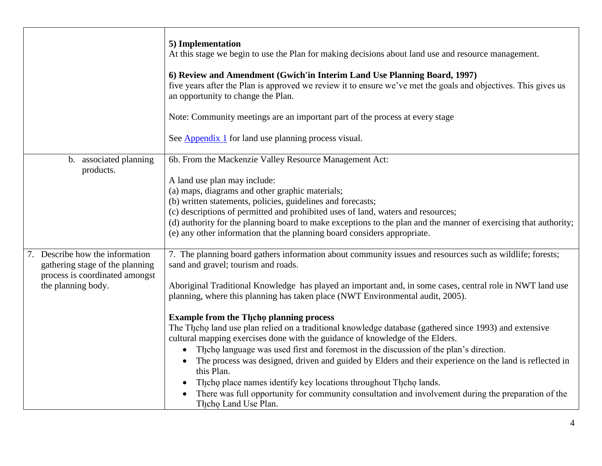|                                                                    | 5) Implementation<br>At this stage we begin to use the Plan for making decisions about land use and resource management.                                                                                                                                                                                                                                                                                                                                                                                                                                                                                                                                           |
|--------------------------------------------------------------------|--------------------------------------------------------------------------------------------------------------------------------------------------------------------------------------------------------------------------------------------------------------------------------------------------------------------------------------------------------------------------------------------------------------------------------------------------------------------------------------------------------------------------------------------------------------------------------------------------------------------------------------------------------------------|
|                                                                    | 6) Review and Amendment (Gwich'in Interim Land Use Planning Board, 1997)<br>five years after the Plan is approved we review it to ensure we've met the goals and objectives. This gives us<br>an opportunity to change the Plan.                                                                                                                                                                                                                                                                                                                                                                                                                                   |
|                                                                    | Note: Community meetings are an important part of the process at every stage                                                                                                                                                                                                                                                                                                                                                                                                                                                                                                                                                                                       |
|                                                                    | See Appendix 1 for land use planning process visual.                                                                                                                                                                                                                                                                                                                                                                                                                                                                                                                                                                                                               |
| b. associated planning                                             | 6b. From the Mackenzie Valley Resource Management Act:                                                                                                                                                                                                                                                                                                                                                                                                                                                                                                                                                                                                             |
| products.                                                          | A land use plan may include:<br>(a) maps, diagrams and other graphic materials;<br>(b) written statements, policies, guidelines and forecasts;<br>(c) descriptions of permitted and prohibited uses of land, waters and resources;<br>(d) authority for the planning board to make exceptions to the plan and the manner of exercising that authority;<br>(e) any other information that the planning board considers appropriate.                                                                                                                                                                                                                                 |
| 7. Describe how the information<br>gathering stage of the planning | 7. The planning board gathers information about community issues and resources such as wildlife; forests;<br>sand and gravel; tourism and roads.                                                                                                                                                                                                                                                                                                                                                                                                                                                                                                                   |
| process is coordinated amongst<br>the planning body.               | Aboriginal Traditional Knowledge has played an important and, in some cases, central role in NWT land use<br>planning, where this planning has taken place (NWT Environmental audit, 2005).                                                                                                                                                                                                                                                                                                                                                                                                                                                                        |
|                                                                    | <b>Example from the Thcho planning process</b><br>The Theho land use plan relied on a traditional knowledge database (gathered since 1993) and extensive<br>cultural mapping exercises done with the guidance of knowledge of the Elders.<br>The cho language was used first and foremost in the discussion of the plan's direction.<br>The process was designed, driven and guided by Elders and their experience on the land is reflected in<br>this Plan.<br>The hope place names identify key locations throughout The holands.<br>There was full opportunity for community consultation and involvement during the preparation of the<br>Theho Land Use Plan. |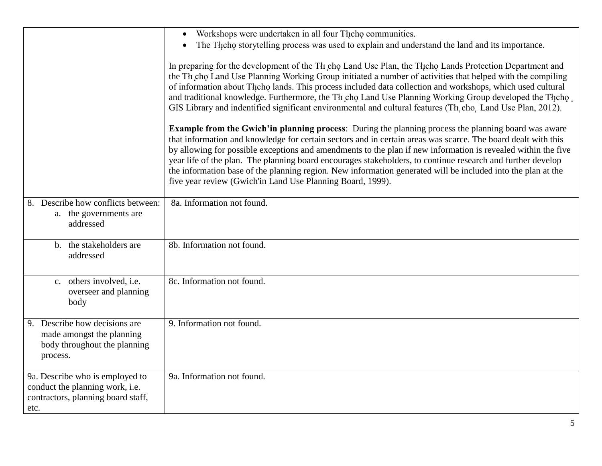|                                                                                                                  | Workshops were undertaken in all four Theoho communities.<br>$\bullet$<br>The Theop storytelling process was used to explain and understand the land and its importance.<br>$\bullet$<br>In preparing for the development of the Th cho Land Use Plan, the Thcho Lands Protection Department and<br>the Th cho Land Use Planning Working Group initiated a number of activities that helped with the compiling<br>of information about Theop lands. This process included data collection and workshops, which used cultural<br>and traditional knowledge. Furthermore, the Th cho Land Use Planning Working Group developed the Thcho<br>GIS Library and indentified significant environmental and cultural features (Th, cho, Land Use Plan, 2012).<br><b>Example from the Gwich'in planning process:</b> During the planning process the planning board was aware |
|------------------------------------------------------------------------------------------------------------------|----------------------------------------------------------------------------------------------------------------------------------------------------------------------------------------------------------------------------------------------------------------------------------------------------------------------------------------------------------------------------------------------------------------------------------------------------------------------------------------------------------------------------------------------------------------------------------------------------------------------------------------------------------------------------------------------------------------------------------------------------------------------------------------------------------------------------------------------------------------------|
|                                                                                                                  | that information and knowledge for certain sectors and in certain areas was scarce. The board dealt with this<br>by allowing for possible exceptions and amendments to the plan if new information is revealed within the five<br>year life of the plan. The planning board encourages stakeholders, to continue research and further develop<br>the information base of the planning region. New information generated will be included into the plan at the<br>five year review (Gwich'in Land Use Planning Board, 1999).                                                                                                                                                                                                                                                                                                                                          |
| Describe how conflicts between:<br>8.<br>a. the governments are<br>addressed                                     | 8a. Information not found.                                                                                                                                                                                                                                                                                                                                                                                                                                                                                                                                                                                                                                                                                                                                                                                                                                           |
| b. the stakeholders are<br>addressed                                                                             | 8b. Information not found.                                                                                                                                                                                                                                                                                                                                                                                                                                                                                                                                                                                                                                                                                                                                                                                                                                           |
| c. others involved, i.e.<br>overseer and planning<br>body                                                        | 8c. Information not found.                                                                                                                                                                                                                                                                                                                                                                                                                                                                                                                                                                                                                                                                                                                                                                                                                                           |
| Describe how decisions are<br>9.<br>made amongst the planning<br>body throughout the planning<br>process.        | 9. Information not found.                                                                                                                                                                                                                                                                                                                                                                                                                                                                                                                                                                                                                                                                                                                                                                                                                                            |
| 9a. Describe who is employed to<br>conduct the planning work, i.e.<br>contractors, planning board staff,<br>etc. | 9a. Information not found.                                                                                                                                                                                                                                                                                                                                                                                                                                                                                                                                                                                                                                                                                                                                                                                                                                           |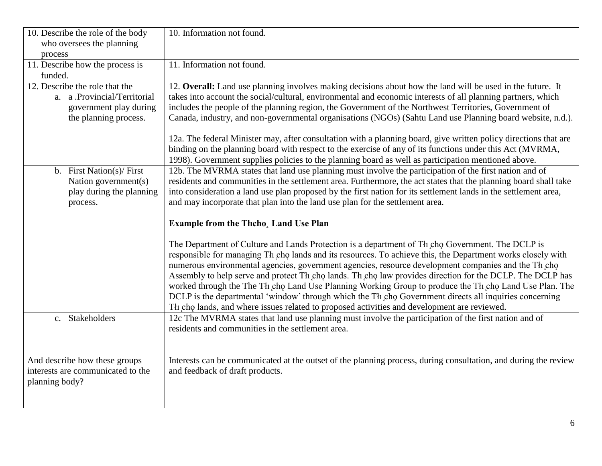| 10. Describe the role of the body                                                                                 | 10. Information not found.                                                                                                                                                                                                                                                                                                                                                                                                                                                                                                                                                                                                                                                                                                                             |
|-------------------------------------------------------------------------------------------------------------------|--------------------------------------------------------------------------------------------------------------------------------------------------------------------------------------------------------------------------------------------------------------------------------------------------------------------------------------------------------------------------------------------------------------------------------------------------------------------------------------------------------------------------------------------------------------------------------------------------------------------------------------------------------------------------------------------------------------------------------------------------------|
| who oversees the planning                                                                                         |                                                                                                                                                                                                                                                                                                                                                                                                                                                                                                                                                                                                                                                                                                                                                        |
| process<br>11. Describe how the process is                                                                        | 11. Information not found.                                                                                                                                                                                                                                                                                                                                                                                                                                                                                                                                                                                                                                                                                                                             |
| funded.                                                                                                           |                                                                                                                                                                                                                                                                                                                                                                                                                                                                                                                                                                                                                                                                                                                                                        |
| 12. Describe the role that the<br>a. a .Provincial/Territorial<br>government play during<br>the planning process. | 12. Overall: Land use planning involves making decisions about how the land will be used in the future. It<br>takes into account the social/cultural, environmental and economic interests of all planning partners, which<br>includes the people of the planning region, the Government of the Northwest Territories, Government of<br>Canada, industry, and non-governmental organisations (NGOs) (Sahtu Land use Planning board website, n.d.).                                                                                                                                                                                                                                                                                                     |
|                                                                                                                   | 12a. The federal Minister may, after consultation with a planning board, give written policy directions that are<br>binding on the planning board with respect to the exercise of any of its functions under this Act (MVRMA,<br>1998). Government supplies policies to the planning board as well as participation mentioned above.                                                                                                                                                                                                                                                                                                                                                                                                                   |
| b. First Nation(s)/ First<br>Nation government(s)<br>play during the planning<br>process.                         | 12b. The MVRMA states that land use planning must involve the participation of the first nation and of<br>residents and communities in the settlement area. Furthermore, the act states that the planning board shall take<br>into consideration a land use plan proposed by the first nation for its settlement lands in the settlement area,<br>and may incorporate that plan into the land use plan for the settlement area.                                                                                                                                                                                                                                                                                                                        |
|                                                                                                                   | <b>Example from the Thcho, Land Use Plan</b>                                                                                                                                                                                                                                                                                                                                                                                                                                                                                                                                                                                                                                                                                                           |
|                                                                                                                   | The Department of Culture and Lands Protection is a department of Th cho Government. The DCLP is<br>responsible for managing Th cho lands and its resources. To achieve this, the Department works closely with<br>numerous environmental agencies, government agencies, resource development companies and the Th cho<br>Assembly to help serve and protect Th cho lands. Th cho law provides direction for the DCLP. The DCLP has<br>worked through the The Th cho Land Use Planning Working Group to produce the Th cho Land Use Plan. The<br>DCLP is the departmental 'window' through which the Th cho Government directs all inquiries concerning<br>Th cho lands, and where issues related to proposed activities and development are reviewed. |
| c. Stakeholders                                                                                                   | 12c The MVRMA states that land use planning must involve the participation of the first nation and of<br>residents and communities in the settlement area.                                                                                                                                                                                                                                                                                                                                                                                                                                                                                                                                                                                             |
| And describe how these groups<br>interests are communicated to the<br>planning body?                              | Interests can be communicated at the outset of the planning process, during consultation, and during the review<br>and feedback of draft products.                                                                                                                                                                                                                                                                                                                                                                                                                                                                                                                                                                                                     |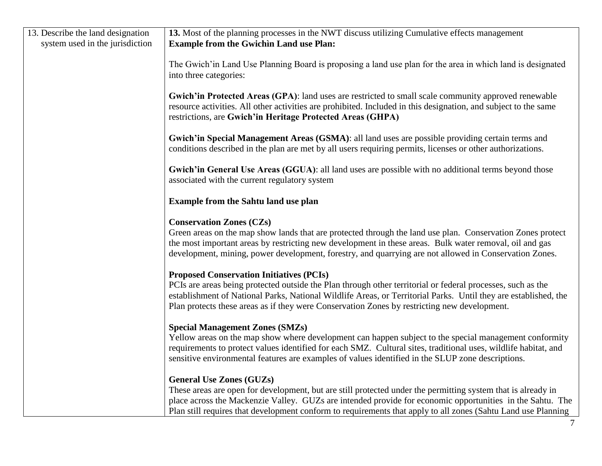| 13. Describe the land designation | 13. Most of the planning processes in the NWT discuss utilizing Cumulative effects management                   |
|-----------------------------------|-----------------------------------------------------------------------------------------------------------------|
| system used in the jurisdiction   | <b>Example from the Gwichin Land use Plan:</b>                                                                  |
|                                   |                                                                                                                 |
|                                   | The Gwich' in Land Use Planning Board is proposing a land use plan for the area in which land is designated     |
|                                   | into three categories:                                                                                          |
|                                   |                                                                                                                 |
|                                   | Gwich'in Protected Areas (GPA): land uses are restricted to small scale community approved renewable            |
|                                   | resource activities. All other activities are prohibited. Included in this designation, and subject to the same |
|                                   | restrictions, are Gwich'in Heritage Protected Areas (GHPA)                                                      |
|                                   |                                                                                                                 |
|                                   | Gwich'in Special Management Areas (GSMA): all land uses are possible providing certain terms and                |
|                                   | conditions described in the plan are met by all users requiring permits, licenses or other authorizations.      |
|                                   |                                                                                                                 |
|                                   | Gwich'in General Use Areas (GGUA): all land uses are possible with no additional terms beyond those             |
|                                   | associated with the current regulatory system                                                                   |
|                                   |                                                                                                                 |
|                                   | <b>Example from the Sahtu land use plan</b>                                                                     |
|                                   |                                                                                                                 |
|                                   | <b>Conservation Zones (CZs)</b>                                                                                 |
|                                   | Green areas on the map show lands that are protected through the land use plan. Conservation Zones protect      |
|                                   | the most important areas by restricting new development in these areas. Bulk water removal, oil and gas         |
|                                   | development, mining, power development, forestry, and quarrying are not allowed in Conservation Zones.          |
|                                   |                                                                                                                 |
|                                   | <b>Proposed Conservation Initiatives (PCIs)</b>                                                                 |
|                                   | PCIs are areas being protected outside the Plan through other territorial or federal processes, such as the     |
|                                   | establishment of National Parks, National Wildlife Areas, or Territorial Parks. Until they are established, the |
|                                   | Plan protects these areas as if they were Conservation Zones by restricting new development.                    |
|                                   |                                                                                                                 |
|                                   | <b>Special Management Zones (SMZs)</b>                                                                          |
|                                   | Yellow areas on the map show where development can happen subject to the special management conformity          |
|                                   | requirements to protect values identified for each SMZ. Cultural sites, traditional uses, wildlife habitat, and |
|                                   | sensitive environmental features are examples of values identified in the SLUP zone descriptions.               |
|                                   |                                                                                                                 |
|                                   | <b>General Use Zones (GUZs)</b>                                                                                 |
|                                   | These areas are open for development, but are still protected under the permitting system that is already in    |
|                                   | place across the Mackenzie Valley. GUZs are intended provide for economic opportunities in the Sahtu. The       |
|                                   | Plan still requires that development conform to requirements that apply to all zones (Sahtu Land use Planning   |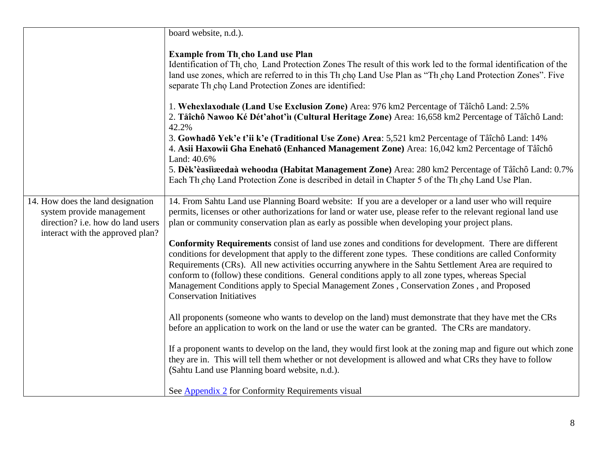|                                                                                                                                         | board website, n.d.).                                                                                                                                                                                                                                                                                                                                                                                                                                                                                                                                             |
|-----------------------------------------------------------------------------------------------------------------------------------------|-------------------------------------------------------------------------------------------------------------------------------------------------------------------------------------------------------------------------------------------------------------------------------------------------------------------------------------------------------------------------------------------------------------------------------------------------------------------------------------------------------------------------------------------------------------------|
|                                                                                                                                         | <b>Example from Th</b> cho Land use Plan<br>Identification of Th, cho, Land Protection Zones The result of this work led to the formal identification of the<br>land use zones, which are referred to in this Th cho Land Use Plan as "Th cho Land Protection Zones". Five<br>separate Th cho Land Protection Zones are identified:                                                                                                                                                                                                                               |
|                                                                                                                                         | 1. Wehexlaxodiale (Land Use Exclusion Zone) Area: 976 km2 Percentage of Tåîchô Land: 2.5%<br>2. Tåîchô Nawoo Ké Dét'ahot'iı (Cultural Heritage Zone) Area: 16,658 km2 Percentage of Tåîchô Land:<br>42.2%                                                                                                                                                                                                                                                                                                                                                         |
|                                                                                                                                         | 3. Gowhado Yek'e t'ii k'e (Traditional Use Zone) Area: 5,521 km2 Percentage of Tåîchô Land: 14%<br>4. Asii Haxowii Gha Enehatô (Enhanced Management Zone) Area: 16,042 km2 Percentage of Tåîchô<br>Land: 40.6%                                                                                                                                                                                                                                                                                                                                                    |
|                                                                                                                                         | 5. Dèk'èasiiæedaà wehoodia (Habitat Management Zone) Area: 280 km2 Percentage of Tåîchô Land: 0.7%<br>Each Th cho Land Protection Zone is described in detail in Chapter 5 of the Th cho Land Use Plan.                                                                                                                                                                                                                                                                                                                                                           |
| 14. How does the land designation<br>system provide management<br>direction? i.e. how do land users<br>interact with the approved plan? | 14. From Sahtu Land use Planning Board website: If you are a developer or a land user who will require<br>permits, licenses or other authorizations for land or water use, please refer to the relevant regional land use<br>plan or community conservation plan as early as possible when developing your project plans.                                                                                                                                                                                                                                         |
|                                                                                                                                         | Conformity Requirements consist of land use zones and conditions for development. There are different<br>conditions for development that apply to the different zone types. These conditions are called Conformity<br>Requirements (CRs). All new activities occurring anywhere in the Sahtu Settlement Area are required to<br>conform to (follow) these conditions. General conditions apply to all zone types, whereas Special<br>Management Conditions apply to Special Management Zones, Conservation Zones, and Proposed<br><b>Conservation Initiatives</b> |
|                                                                                                                                         | All proponents (someone who wants to develop on the land) must demonstrate that they have met the CRs<br>before an application to work on the land or use the water can be granted. The CRs are mandatory.                                                                                                                                                                                                                                                                                                                                                        |
|                                                                                                                                         | If a proponent wants to develop on the land, they would first look at the zoning map and figure out which zone<br>they are in. This will tell them whether or not development is allowed and what CRs they have to follow<br>(Sahtu Land use Planning board website, n.d.).                                                                                                                                                                                                                                                                                       |
|                                                                                                                                         | See <b>Appendix 2</b> for Conformity Requirements visual                                                                                                                                                                                                                                                                                                                                                                                                                                                                                                          |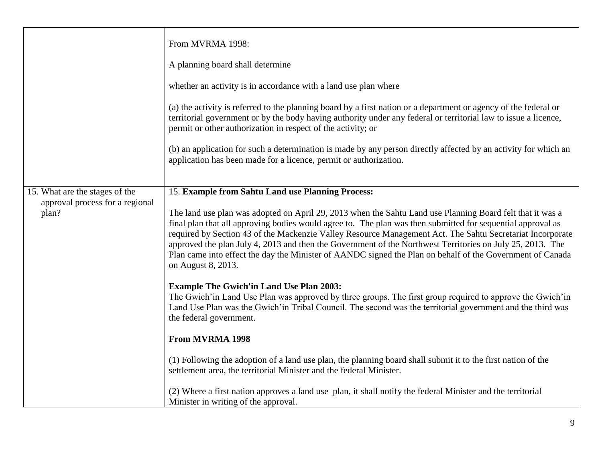|                                                                            | From MVRMA 1998:<br>A planning board shall determine<br>whether an activity is in accordance with a land use plan where<br>(a) the activity is referred to the planning board by a first nation or a department or agency of the federal or<br>territorial government or by the body having authority under any federal or territorial law to issue a licence,<br>permit or other authorization in respect of the activity; or<br>(b) an application for such a determination is made by any person directly affected by an activity for which an<br>application has been made for a licence, permit or authorization.                                                                                                                                                                                                                                                                                                                                                        |
|----------------------------------------------------------------------------|-------------------------------------------------------------------------------------------------------------------------------------------------------------------------------------------------------------------------------------------------------------------------------------------------------------------------------------------------------------------------------------------------------------------------------------------------------------------------------------------------------------------------------------------------------------------------------------------------------------------------------------------------------------------------------------------------------------------------------------------------------------------------------------------------------------------------------------------------------------------------------------------------------------------------------------------------------------------------------|
|                                                                            |                                                                                                                                                                                                                                                                                                                                                                                                                                                                                                                                                                                                                                                                                                                                                                                                                                                                                                                                                                               |
| 15. What are the stages of the<br>approval process for a regional<br>plan? | 15. Example from Sahtu Land use Planning Process:<br>The land use plan was adopted on April 29, 2013 when the Sahtu Land use Planning Board felt that it was a<br>final plan that all approving bodies would agree to. The plan was then submitted for sequential approval as<br>required by Section 43 of the Mackenzie Valley Resource Management Act. The Sahtu Secretariat Incorporate<br>approved the plan July 4, 2013 and then the Government of the Northwest Territories on July 25, 2013. The<br>Plan came into effect the day the Minister of AANDC signed the Plan on behalf of the Government of Canada<br>on August 8, 2013.<br><b>Example The Gwich'in Land Use Plan 2003:</b><br>The Gwich'in Land Use Plan was approved by three groups. The first group required to approve the Gwich'in<br>Land Use Plan was the Gwich'in Tribal Council. The second was the territorial government and the third was<br>the federal government.<br><b>From MVRMA 1998</b> |
|                                                                            | (1) Following the adoption of a land use plan, the planning board shall submit it to the first nation of the<br>settlement area, the territorial Minister and the federal Minister.                                                                                                                                                                                                                                                                                                                                                                                                                                                                                                                                                                                                                                                                                                                                                                                           |
|                                                                            | (2) Where a first nation approves a land use plan, it shall notify the federal Minister and the territorial<br>Minister in writing of the approval.                                                                                                                                                                                                                                                                                                                                                                                                                                                                                                                                                                                                                                                                                                                                                                                                                           |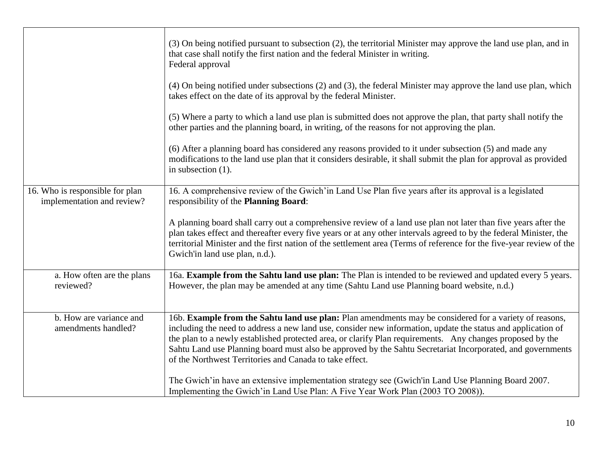|                                                               | (3) On being notified pursuant to subsection (2), the territorial Minister may approve the land use plan, and in<br>that case shall notify the first nation and the federal Minister in writing.<br>Federal approval                                                                                                                                                                                                                                                                                         |
|---------------------------------------------------------------|--------------------------------------------------------------------------------------------------------------------------------------------------------------------------------------------------------------------------------------------------------------------------------------------------------------------------------------------------------------------------------------------------------------------------------------------------------------------------------------------------------------|
|                                                               | (4) On being notified under subsections (2) and (3), the federal Minister may approve the land use plan, which<br>takes effect on the date of its approval by the federal Minister.                                                                                                                                                                                                                                                                                                                          |
|                                                               | (5) Where a party to which a land use plan is submitted does not approve the plan, that party shall notify the<br>other parties and the planning board, in writing, of the reasons for not approving the plan.                                                                                                                                                                                                                                                                                               |
|                                                               | (6) After a planning board has considered any reasons provided to it under subsection (5) and made any<br>modifications to the land use plan that it considers desirable, it shall submit the plan for approval as provided<br>in subsection $(1)$ .                                                                                                                                                                                                                                                         |
| 16. Who is responsible for plan<br>implementation and review? | 16. A comprehensive review of the Gwich'in Land Use Plan five years after its approval is a legislated<br>responsibility of the Planning Board:                                                                                                                                                                                                                                                                                                                                                              |
|                                                               | A planning board shall carry out a comprehensive review of a land use plan not later than five years after the<br>plan takes effect and thereafter every five years or at any other intervals agreed to by the federal Minister, the<br>territorial Minister and the first nation of the settlement area (Terms of reference for the five-year review of the<br>Gwich'in land use plan, n.d.).                                                                                                               |
| a. How often are the plans<br>reviewed?                       | 16a. Example from the Sahtu land use plan: The Plan is intended to be reviewed and updated every 5 years.<br>However, the plan may be amended at any time (Sahtu Land use Planning board website, n.d.)                                                                                                                                                                                                                                                                                                      |
| b. How are variance and<br>amendments handled?                | 16b. Example from the Sahtu land use plan: Plan amendments may be considered for a variety of reasons,<br>including the need to address a new land use, consider new information, update the status and application of<br>the plan to a newly established protected area, or clarify Plan requirements. Any changes proposed by the<br>Sahtu Land use Planning board must also be approved by the Sahtu Secretariat Incorporated, and governments<br>of the Northwest Territories and Canada to take effect. |
|                                                               | The Gwich'in have an extensive implementation strategy see (Gwich'in Land Use Planning Board 2007.<br>Implementing the Gwich'in Land Use Plan: A Five Year Work Plan (2003 TO 2008)).                                                                                                                                                                                                                                                                                                                        |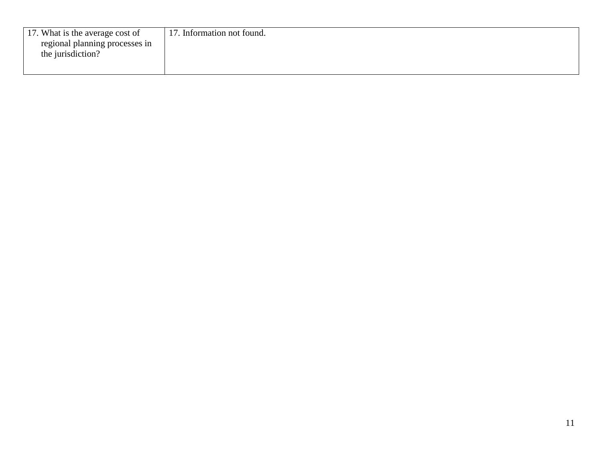| 17. Information not found. |
|----------------------------|
|                            |
|                            |
|                            |
|                            |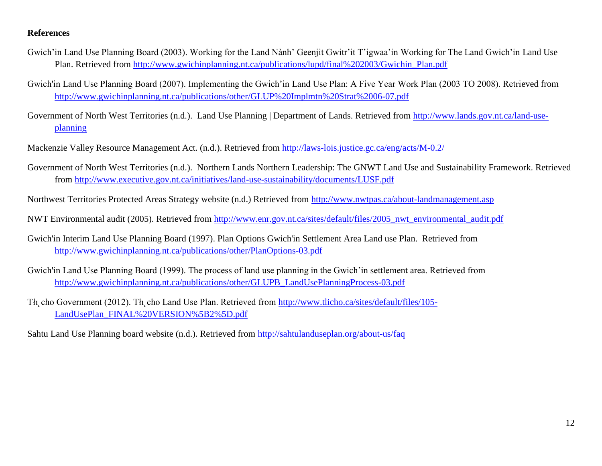## **References**

- Gwich'in Land Use Planning Board (2003). Working for the Land Nành' Geenjit Gwitr'it T'igwaa'in Working for The Land Gwich'in Land Use Plan. Retrieved from [http://www.gwichinplanning.nt.ca/publications/lupd/final%202003/Gwichin\\_Plan.pdf](http://www.gwichinplanning.nt.ca/publications/lupd/final%202003/Gwichin_Plan.pdf)
- Gwich'in Land Use Planning Board (2007). Implementing the Gwich'in Land Use Plan: A Five Year Work Plan (2003 TO 2008). Retrieved from <http://www.gwichinplanning.nt.ca/publications/other/GLUP%20Implmtn%20Strat%2006-07.pdf>
- Government of North West Territories (n.d.). Land Use Planning | Department of Lands. Retrieved from [http://www.lands.gov.nt.ca/land-use](http://www.lands.gov.nt.ca/land-use-planning)[planning](http://www.lands.gov.nt.ca/land-use-planning)
- Mackenzie Valley Resource Management Act. (n.d.). Retrieved from<http://laws-lois.justice.gc.ca/eng/acts/M-0.2/>
- Government of North West Territories (n.d.). Northern Lands Northern Leadership: The GNWT Land Use and Sustainability Framework. Retrieved from<http://www.executive.gov.nt.ca/initiatives/land-use-sustainability/documents/LUSF.pdf>
- Northwest Territories Protected Areas Strategy website (n.d.) Retrieved from<http://www.nwtpas.ca/about-landmanagement.asp>
- NWT Environmental audit (2005). Retrieved from [http://www.enr.gov.nt.ca/sites/default/files/2005\\_nwt\\_environmental\\_audit.pdf](http://www.enr.gov.nt.ca/sites/default/files/2005_nwt_environmental_audit.pdf)
- Gwich'in Interim Land Use Planning Board (1997). Plan Options Gwich'in Settlement Area Land use Plan. Retrieved from <http://www.gwichinplanning.nt.ca/publications/other/PlanOptions-03.pdf>
- Gwich'in Land Use Planning Board (1999). The process of land use planning in the Gwich'in settlement area. Retrieved from [http://www.gwichinplanning.nt.ca/publications/other/GLUPB\\_LandUsePlanningProcess-03.pdf](http://www.gwichinplanning.nt.ca/publications/other/GLUPB_LandUsePlanningProcess-03.pdf)
- Th, cho Government (2012). Th. cho Land Use Plan. Retrieved from [http://www.tlicho.ca/sites/default/files/105-](http://www.tlicho.ca/sites/default/files/105-LandUsePlan_FINAL%20VERSION%5B2%5D.pdf) [LandUsePlan\\_FINAL%20VERSION%5B2%5D.pdf](http://www.tlicho.ca/sites/default/files/105-LandUsePlan_FINAL%20VERSION%5B2%5D.pdf)

Sahtu Land Use Planning board website (n.d.). Retrieved from<http://sahtulanduseplan.org/about-us/faq>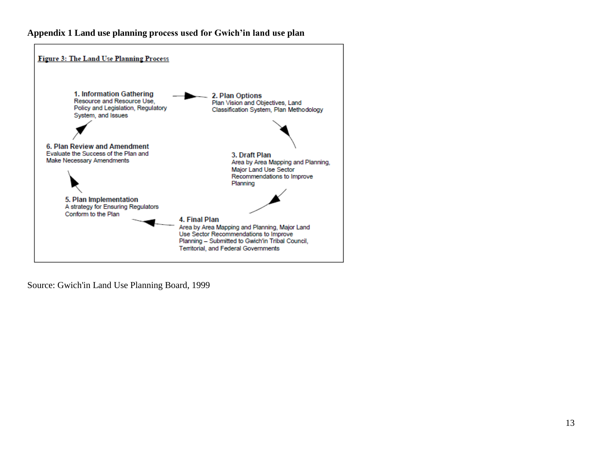## <span id="page-12-0"></span>**Appendix 1 Land use planning process used for Gwich'in land use plan**



Source: Gwich'in Land Use Planning Board, 1999